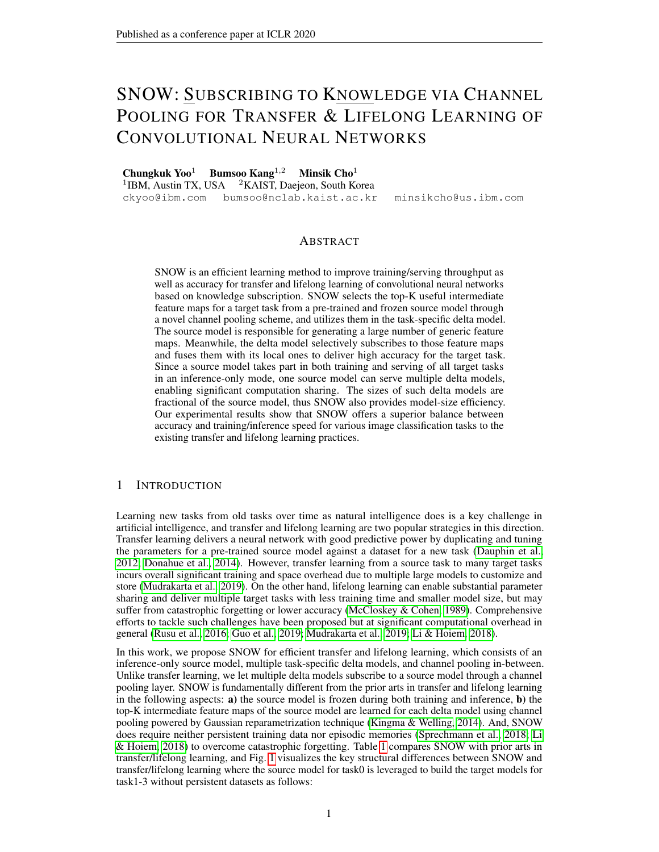# SNOW: SUBSCRIBING TO KNOWLEDGE VIA CHANNEL POOLING FOR TRANSFER & LIFELONG LEARNING OF CONVOLUTIONAL NEURAL NETWORKS

Chungkuk Yoo<sup>1</sup> Bumsoo Kang<sup>1,2</sup> Minsik Cho<sup>1</sup> <sup>1</sup>IBM, Austin TX, USA <sup>2</sup>KAIST, Daejeon, South Korea ckyoo@ibm.com bumsoo@nclab.kaist.ac.kr minsikcho@us.ibm.com

## ABSTRACT

SNOW is an efficient learning method to improve training/serving throughput as well as accuracy for transfer and lifelong learning of convolutional neural networks based on knowledge subscription. SNOW selects the top-K useful intermediate feature maps for a target task from a pre-trained and frozen source model through a novel channel pooling scheme, and utilizes them in the task-specific delta model. The source model is responsible for generating a large number of generic feature maps. Meanwhile, the delta model selectively subscribes to those feature maps and fuses them with its local ones to deliver high accuracy for the target task. Since a source model takes part in both training and serving of all target tasks in an inference-only mode, one source model can serve multiple delta models, enabling significant computation sharing. The sizes of such delta models are fractional of the source model, thus SNOW also provides model-size efficiency. Our experimental results show that SNOW offers a superior balance between accuracy and training/inference speed for various image classification tasks to the existing transfer and lifelong learning practices.

## 1 INTRODUCTION

Learning new tasks from old tasks over time as natural intelligence does is a key challenge in artificial intelligence, and transfer and lifelong learning are two popular strategies in this direction. Transfer learning delivers a neural network with good predictive power by duplicating and tuning the parameters for a pre-trained source model against a dataset for a new task [\(Dauphin et al.,](#page-9-0) [2012;](#page-9-0) [Donahue et al., 2014\)](#page-9-1). However, transfer learning from a source task to many target tasks incurs overall significant training and space overhead due to multiple large models to customize and store [\(Mudrakarta et al., 2019\)](#page-10-0). On the other hand, lifelong learning can enable substantial parameter sharing and deliver multiple target tasks with less training time and smaller model size, but may suffer from catastrophic forgetting or lower accuracy [\(McCloskey & Cohen, 1989\)](#page-10-1). Comprehensive efforts to tackle such challenges have been proposed but at significant computational overhead in general [\(Rusu et al., 2016;](#page-10-2) [Guo et al., 2019;](#page-9-2) [Mudrakarta et al., 2019;](#page-10-0) [Li & Hoiem, 2018\)](#page-9-3).

In this work, we propose SNOW for efficient transfer and lifelong learning, which consists of an inference-only source model, multiple task-specific delta models, and channel pooling in-between. Unlike transfer learning, we let multiple delta models subscribe to a source model through a channel pooling layer. SNOW is fundamentally different from the prior arts in transfer and lifelong learning in the following aspects:  $\bf{a}$ ) the source model is frozen during both training and inference,  $\bf{b}$ ) the top-K intermediate feature maps of the source model are learned for each delta model using channel pooling powered by Gaussian reparametrization technique [\(Kingma & Welling, 2014\)](#page-9-4). And, SNOW does require neither persistent training data nor episodic memories [\(Sprechmann et al., 2018;](#page-10-3) [Li](#page-9-3) [& Hoiem, 2018\)](#page-9-3) to overcome catastrophic forgetting. Table [1](#page-1-0) compares SNOW with prior arts in transfer/lifelong learning, and Fig. [1](#page-1-0) visualizes the key structural differences between SNOW and transfer/lifelong learning where the source model for task0 is leveraged to build the target models for task1-3 without persistent datasets as follows: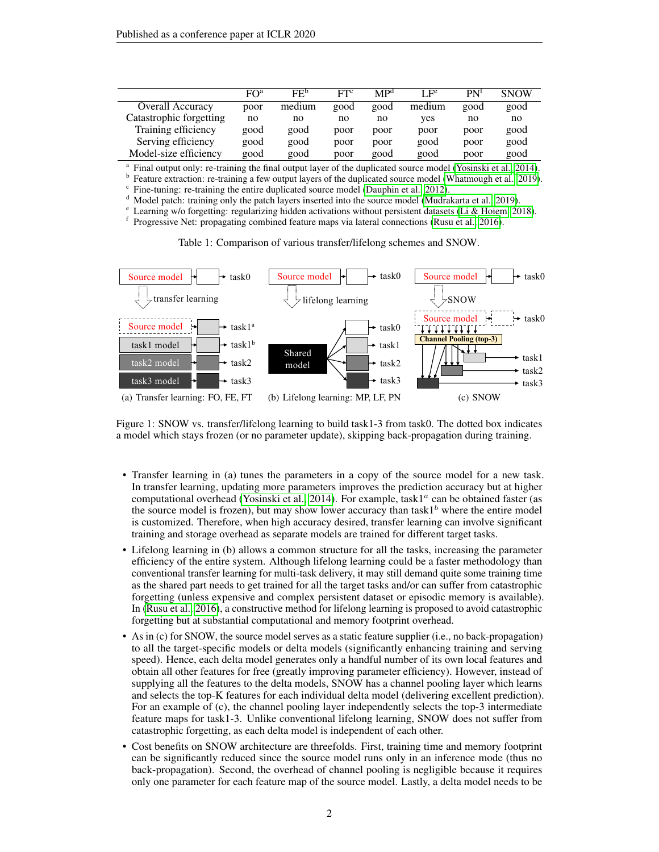|                         | $F()^a$ | FE <sup>b</sup> | ETC  | MP <sup>d</sup> | I <sub>F</sub> e | P N <sup>t</sup> | <b>SNOW</b> |
|-------------------------|---------|-----------------|------|-----------------|------------------|------------------|-------------|
| <b>Overall Accuracy</b> | poor    | medium          | good | good            | medium           | good             | good        |
| Catastrophic forgetting | no      | no              | no   | no              | ves              | no               | no          |
| Training efficiency     | good    | good            | poor | poor            | poor             | poor             | good        |
| Serving efficiency      | good    | good            | poor | poor            | good             | poor             | good        |
| Model-size efficiency   | good    | good            | poor | good            | good             | poor             | good        |

a Final output only: re-training the final output layer of the duplicated source model [\(Yosinski et al., 2014\)](#page-10-4).

b Feature extraction: re-training a few output layers of the duplicated source model [\(Whatmough et al., 2019\)](#page-10-5).

c Fine-tuning: re-training the entire duplicated source model [\(Dauphin et al., 2012\)](#page-9-0).

Model patch: training only the patch layers inserted into the source model [\(Mudrakarta et al., 2019\)](#page-10-0).

Learning w/o forgetting: regularizing hidden activations without persistent datasets [\(Li & Hoiem, 2018\)](#page-9-3).

f Progressive Net: propagating combined feature maps via lateral connections [\(Rusu et al., 2016\)](#page-10-2).

Table 1: Comparison of various transfer/lifelong schemes and SNOW.

<span id="page-1-0"></span>

Figure 1: SNOW vs. transfer/lifelong learning to build task1-3 from task0. The dotted box indicates a model which stays frozen (or no parameter update), skipping back-propagation during training.

- Transfer learning in (a) tunes the parameters in a copy of the source model for a new task. In transfer learning, updating more parameters improves the prediction accuracy but at higher computational overhead [\(Yosinski et al., 2014\)](#page-10-4). For example, task1<sup>a</sup> can be obtained faster (as the source model is frozen), but may show lower accuracy than task1<sup>b</sup> where the entire model is customized. Therefore, when high accuracy desired, transfer learning can involve significant training and storage overhead as separate models are trained for different target tasks.
- Lifelong learning in (b) allows a common structure for all the tasks, increasing the parameter efficiency of the entire system. Although lifelong learning could be a faster methodology than conventional transfer learning for multi-task delivery, it may still demand quite some training time as the shared part needs to get trained for all the target tasks and/or can suffer from catastrophic forgetting (unless expensive and complex persistent dataset or episodic memory is available). In [\(Rusu et al., 2016\)](#page-10-2), a constructive method for lifelong learning is proposed to avoid catastrophic forgetting but at substantial computational and memory footprint overhead.
- As in (c) for SNOW, the source model serves as a static feature supplier (i.e., no back-propagation) to all the target-specific models or delta models (significantly enhancing training and serving speed). Hence, each delta model generates only a handful number of its own local features and obtain all other features for free (greatly improving parameter efficiency). However, instead of supplying all the features to the delta models, SNOW has a channel pooling layer which learns and selects the top-K features for each individual delta model (delivering excellent prediction). For an example of (c), the channel pooling layer independently selects the top-3 intermediate feature maps for task1-3. Unlike conventional lifelong learning, SNOW does not suffer from catastrophic forgetting, as each delta model is independent of each other.
- Cost benefits on SNOW architecture are threefolds. First, training time and memory footprint can be significantly reduced since the source model runs only in an inference mode (thus no back-propagation). Second, the overhead of channel pooling is negligible because it requires only one parameter for each feature map of the source model. Lastly, a delta model needs to be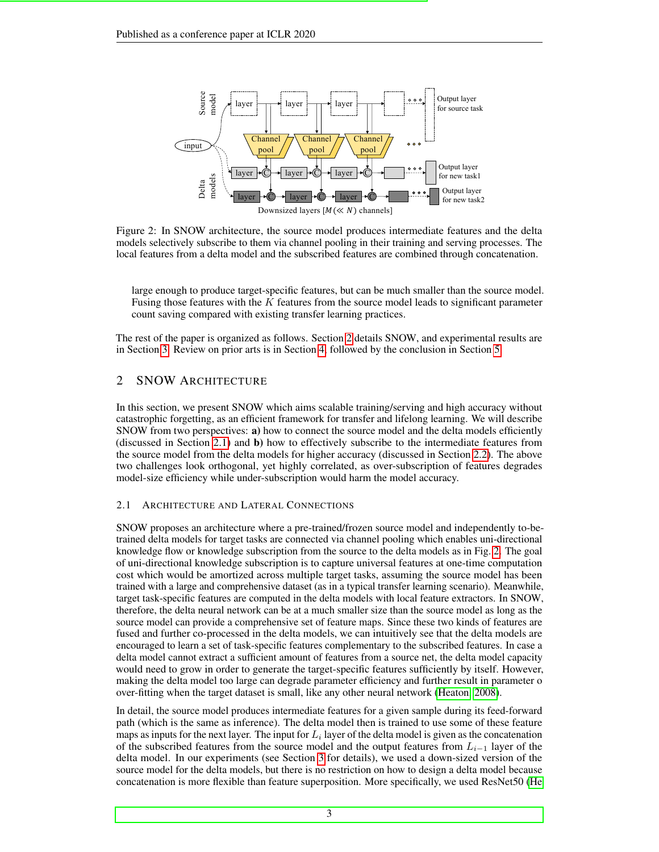<span id="page-2-2"></span>

Figure 2: In SNOW architecture, the source model produces intermediate features and the delta models selectively subscribe to them via channel pooling in their training and serving processes. The local features from a delta model and the subscribed features are combined through concatenation.

large enough to produce target-specific features, but can be much smaller than the source model. Fusing those features with the  $K$  features from the source model leads to significant parameter count saving compared with existing transfer learning practices.

The rest of the paper is organized as follows. Section [2](#page-2-0) details SNOW, and experimental results are in Section [3.](#page-4-0) Review on prior arts is in Section [4,](#page-8-0) followed by the conclusion in Section [5.](#page-8-1)

# <span id="page-2-0"></span>2 SNOW ARCHITECTURE

In this section, we present SNOW which aims scalable training/serving and high accuracy without catastrophic forgetting, as an efficient framework for transfer and lifelong learning. We will describe SNOW from two perspectives: a) how to connect the source model and the delta models efficiently (discussed in Section [2.1\)](#page-2-1) and b) how to effectively subscribe to the intermediate features from the source model from the delta models for higher accuracy (discussed in Section [2.2\)](#page-3-0). The above two challenges look orthogonal, yet highly correlated, as over-subscription of features degrades model-size efficiency while under-subscription would harm the model accuracy.

## <span id="page-2-1"></span>2.1 ARCHITECTURE AND LATERAL CONNECTIONS

SNOW proposes an architecture where a pre-trained/frozen source model and independently to-betrained delta models for target tasks are connected via channel pooling which enables uni-directional knowledge flow or knowledge subscription from the source to the delta models as in Fig. [2.](#page-2-2) The goal of uni-directional knowledge subscription is to capture universal features at one-time computation cost which would be amortized across multiple target tasks, assuming the source model has been trained with a large and comprehensive dataset (as in a typical transfer learning scenario). Meanwhile, target task-specific features are computed in the delta models with local feature extractors. In SNOW, therefore, the delta neural network can be at a much smaller size than the source model as long as the source model can provide a comprehensive set of feature maps. Since these two kinds of features are fused and further co-processed in the delta models, we can intuitively see that the delta models are encouraged to learn a set of task-specific features complementary to the subscribed features. In case a delta model cannot extract a sufficient amount of features from a source net, the delta model capacity would need to grow in order to generate the target-specific features sufficiently by itself. However, making the delta model too large can degrade parameter efficiency and further result in parameter o over-fitting when the target dataset is small, like any other neural network [\(Heaton, 2008\)](#page-9-5).

In detail, the source model produces intermediate features for a given sample during its feed-forward path (which is the same as inference). The delta model then is trained to use some of these feature maps as inputs for the next layer. The input for  $L_i$  layer of the delta model is given as the concatenation of the subscribed features from the source model and the output features from  $L_{i-1}$  layer of the delta model. In our experiments (see Section [3](#page-4-0) for details), we used a down-sized version of the source model for the delta models, but there is no restriction on how to design a delta model because concatenation is more flexible than feature superposition. More specifically, we used ResNet50 [\(He](#page-9-6)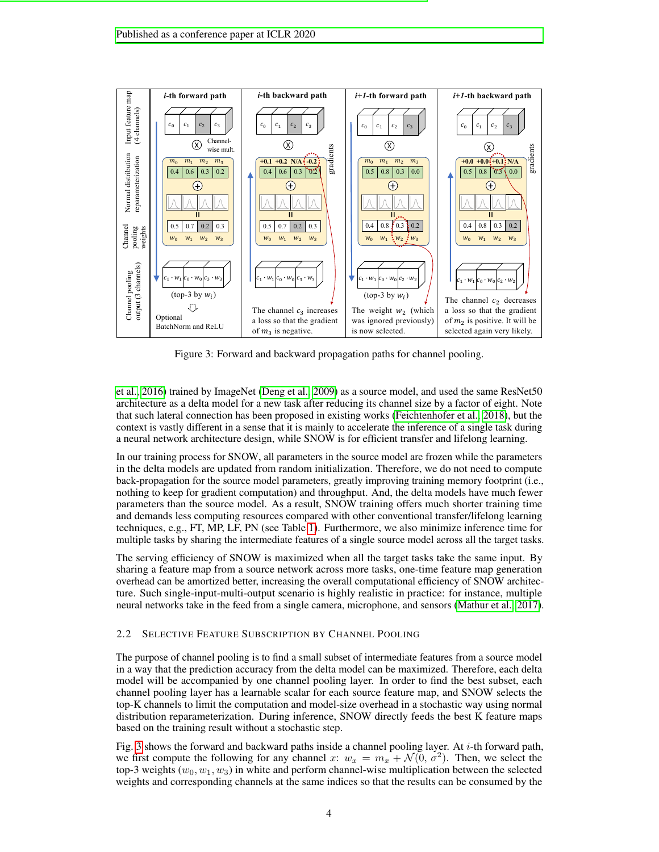<span id="page-3-1"></span>

Figure 3: Forward and backward propagation paths for channel pooling.

[et al., 2016\)](#page-9-6) trained by ImageNet [\(Deng et al., 2009\)](#page-9-7) as a source model, and used the same ResNet50 architecture as a delta model for a new task after reducing its channel size by a factor of eight. Note that such lateral connection has been proposed in existing works [\(Feichtenhofer et al., 2018\)](#page-9-8), but the context is vastly different in a sense that it is mainly to accelerate the inference of a single task during a neural network architecture design, while SNOW is for efficient transfer and lifelong learning.

In our training process for SNOW, all parameters in the source model are frozen while the parameters in the delta models are updated from random initialization. Therefore, we do not need to compute back-propagation for the source model parameters, greatly improving training memory footprint (i.e., nothing to keep for gradient computation) and throughput. And, the delta models have much fewer parameters than the source model. As a result, SNOW training offers much shorter training time and demands less computing resources compared with other conventional transfer/lifelong learning techniques, e.g., FT, MP, LF, PN (see Table [1\)](#page-1-0). Furthermore, we also minimize inference time for multiple tasks by sharing the intermediate features of a single source model across all the target tasks.

The serving efficiency of SNOW is maximized when all the target tasks take the same input. By sharing a feature map from a source network across more tasks, one-time feature map generation overhead can be amortized better, increasing the overall computational efficiency of SNOW architecture. Such single-input-multi-output scenario is highly realistic in practice: for instance, multiple neural networks take in the feed from a single camera, microphone, and sensors [\(Mathur et al., 2017\)](#page-10-6).

#### <span id="page-3-0"></span>2.2 SELECTIVE FEATURE SUBSCRIPTION BY CHANNEL POOLING

The purpose of channel pooling is to find a small subset of intermediate features from a source model in a way that the prediction accuracy from the delta model can be maximized. Therefore, each delta model will be accompanied by one channel pooling layer. In order to find the best subset, each channel pooling layer has a learnable scalar for each source feature map, and SNOW selects the top-K channels to limit the computation and model-size overhead in a stochastic way using normal distribution reparameterization. During inference, SNOW directly feeds the best K feature maps based on the training result without a stochastic step.

Fig. [3](#page-3-1) shows the forward and backward paths inside a channel pooling layer. At  $i$ -th forward path, we first compute the following for any channel x:  $w_x = m_x + \mathcal{N}(0, \sigma^2)$ . Then, we select the top-3 weights ( $w_0, w_1, w_3$ ) in white and perform channel-wise multiplication between the selected weights and corresponding channels at the same indices so that the results can be consumed by the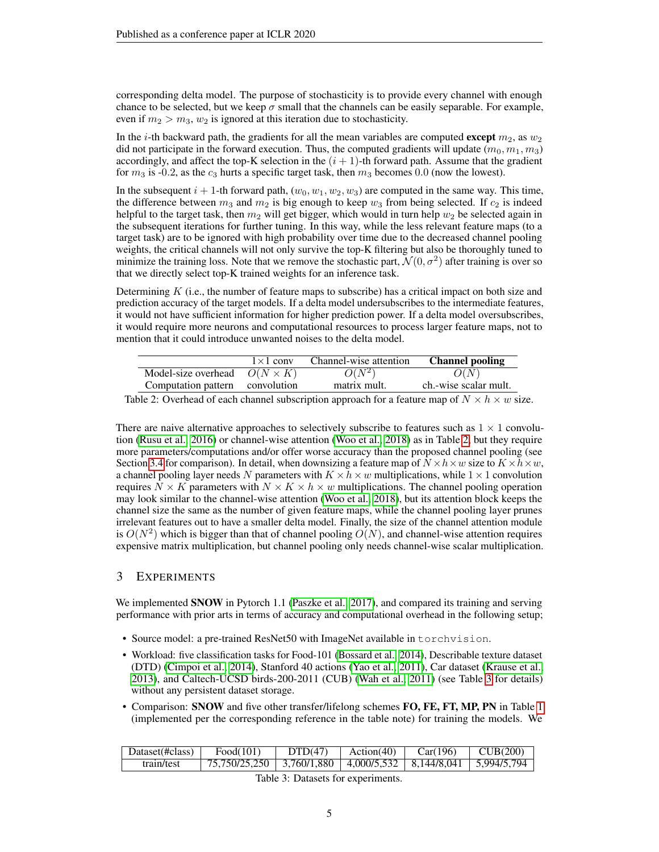corresponding delta model. The purpose of stochasticity is to provide every channel with enough chance to be selected, but we keep  $\sigma$  small that the channels can be easily separable. For example, even if  $m_2 > m_3$ ,  $w_2$  is ignored at this iteration due to stochasticity.

In the *i*-th backward path, the gradients for all the mean variables are computed **except**  $m_2$ , as  $w_2$ did not participate in the forward execution. Thus, the computed gradients will update  $(m_0, m_1, m_3)$ accordingly, and affect the top-K selection in the  $(i + 1)$ -th forward path. Assume that the gradient for  $m_3$  is -0.2, as the  $c_3$  hurts a specific target task, then  $m_3$  becomes 0.0 (now the lowest).

In the subsequent  $i + 1$ -th forward path,  $(w_0, w_1, w_2, w_3)$  are computed in the same way. This time, the difference between  $m_3$  and  $m_2$  is big enough to keep  $w_3$  from being selected. If  $c_2$  is indeed helpful to the target task, then  $m_2$  will get bigger, which would in turn help  $w_2$  be selected again in the subsequent iterations for further tuning. In this way, while the less relevant feature maps (to a target task) are to be ignored with high probability over time due to the decreased channel pooling weights, the critical channels will not only survive the top-K filtering but also be thoroughly tuned to minimize the training loss. Note that we remove the stochastic part,  $\mathcal{N}(0, \sigma^2)$  after training is over so that we directly select top-K trained weights for an inference task.

Determining  $K$  (i.e., the number of feature maps to subscribe) has a critical impact on both size and prediction accuracy of the target models. If a delta model undersubscribes to the intermediate features, it would not have sufficient information for higher prediction power. If a delta model oversubscribes, it would require more neurons and computational resources to process larger feature maps, not to mention that it could introduce unwanted noises to the delta model.

<span id="page-4-1"></span>

|                                     | $1 \times 1$ conv | Channel-wise attention | <b>Channel pooling</b> |
|-------------------------------------|-------------------|------------------------|------------------------|
| Model-size overhead $O(N \times K)$ |                   | $O(N^2)$               | O(N)                   |
| Computation pattern convolution     |                   | matrix mult.           | ch.-wise scalar mult.  |
|                                     |                   |                        |                        |

Table 2: Overhead of each channel subscription approach for a feature map of  $N \times h \times w$  size.

There are naive alternative approaches to selectively subscribe to features such as  $1 \times 1$  convolution [\(Rusu et al., 2016\)](#page-10-2) or channel-wise attention [\(Woo et al., 2018\)](#page-10-7) as in Table [2,](#page-4-1) but they require more parameters/computations and/or offer worse accuracy than the proposed channel pooling (see Section [3.4](#page-7-0) for comparison). In detail, when downsizing a feature map of  $N \times h \times w$  size to  $K \times h \times w$ , a channel pooling layer needs N parameters with  $K \times h \times w$  multiplications, while  $1 \times 1$  convolution requires  $N \times K$  parameters with  $N \times K \times h \times w$  multiplications. The channel pooling operation may look similar to the channel-wise attention [\(Woo et al., 2018\)](#page-10-7), but its attention block keeps the channel size the same as the number of given feature maps, while the channel pooling layer prunes irrelevant features out to have a smaller delta model. Finally, the size of the channel attention module is  $O(N^2)$  which is bigger than that of channel pooling  $O(N)$ , and channel-wise attention requires expensive matrix multiplication, but channel pooling only needs channel-wise scalar multiplication.

# <span id="page-4-0"></span>3 EXPERIMENTS

We implemented **SNOW** in Pytorch 1.1 [\(Paszke et al., 2017\)](#page-10-8), and compared its training and serving performance with prior arts in terms of accuracy and computational overhead in the following setup;

- Source model: a pre-trained ResNet50 with ImageNet available in torchvision.
- Workload: five classification tasks for Food-101 [\(Bossard et al., 2014\)](#page-9-9), Describable texture dataset (DTD) [\(Cimpoi et al., 2014\)](#page-9-10), Stanford 40 actions [\(Yao et al., 2011\)](#page-10-9), Car dataset [\(Krause et al.,](#page-9-11) [2013\)](#page-9-11), and Caltech-UCSD birds-200-2011 (CUB) [\(Wah et al., 2011\)](#page-10-10) (see Table [3](#page-4-2) for details) without any persistent dataset storage.
- Comparison: SNOW and five other transfer/lifelong schemes FO, FE, FT, MP, PN in Table [1](#page-1-0) (implemented per the corresponding reference in the table note) for training the models. We

<span id="page-4-2"></span>

| Dataset(#class) | Food(101)                                                             | DTD(47) | Action(40) | Car(196) | $\vert$ CUB(200) |
|-----------------|-----------------------------------------------------------------------|---------|------------|----------|------------------|
| train/test      | 75,750/25,250   3,760/1,880   4,000/5,532   8,144/8,041   5,994/5,794 |         |            |          |                  |

Table 3: Datasets for experiments.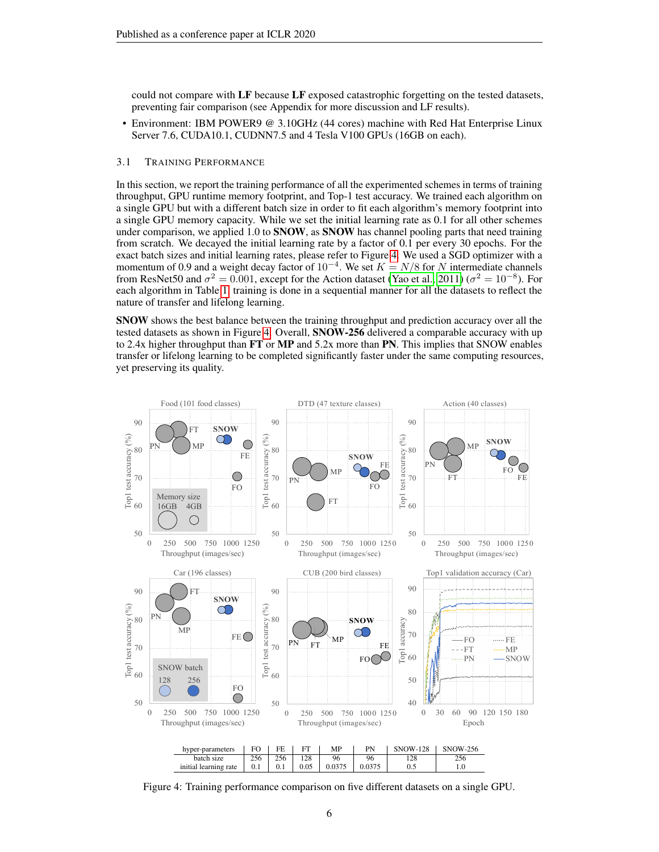could not compare with LF because LF exposed catastrophic forgetting on the tested datasets, preventing fair comparison (see Appendix for more discussion and LF results).

• Environment: IBM POWER9 @ 3.10GHz (44 cores) machine with Red Hat Enterprise Linux Server 7.6, CUDA10.1, CUDNN7.5 and 4 Tesla V100 GPUs (16GB on each).

#### 3.1 TRAINING PERFORMANCE

In this section, we report the training performance of all the experimented schemes in terms of training throughput, GPU runtime memory footprint, and Top-1 test accuracy. We trained each algorithm on a single GPU but with a different batch size in order to fit each algorithm's memory footprint into a single GPU memory capacity. While we set the initial learning rate as 0.1 for all other schemes under comparison, we applied  $1.0$  to SNOW, as SNOW has channel pooling parts that need training from scratch. We decayed the initial learning rate by a factor of 0.1 per every 30 epochs. For the exact batch sizes and initial learning rates, please refer to Figure [4.](#page-5-0) We used a SGD optimizer with a momentum of 0.9 and a weight decay factor of  $10^{-4}$ . We set  $K = N/8$  for N intermediate channels from ResNet50 and  $\sigma^2 = 0.001$ , except for the Action dataset [\(Yao et al., 2011\)](#page-10-9) ( $\sigma^2 = 10^{-8}$ ). For each algorithm in Table [1,](#page-1-0) training is done in a sequential manner for all the datasets to reflect the nature of transfer and lifelong learning.

SNOW shows the best balance between the training throughput and prediction accuracy over all the tested datasets as shown in Figure [4.](#page-5-0) Overall, SNOW-256 delivered a comparable accuracy with up to 2.4x higher throughput than  $FT$  or  $MP$  and 5.2x more than  $PN$ . This implies that SNOW enables transfer or lifelong learning to be completed significantly faster under the same computing resources, yet preserving its quality.

<span id="page-5-0"></span>

Figure 4: Training performance comparison on five different datasets on a single GPU.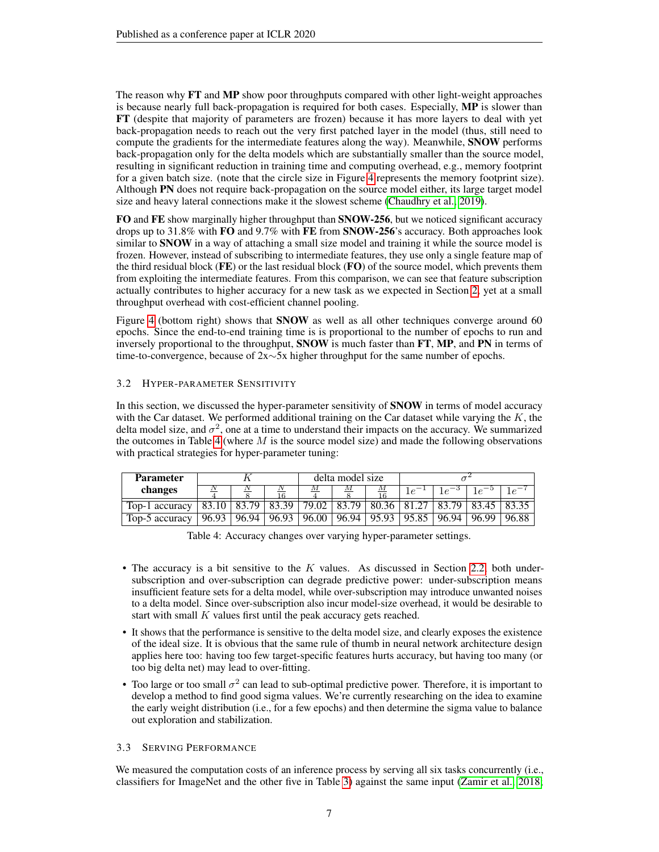The reason why FT and MP show poor throughputs compared with other light-weight approaches is because nearly full back-propagation is required for both cases. Especially, MP is slower than FT (despite that majority of parameters are frozen) because it has more layers to deal with yet back-propagation needs to reach out the very first patched layer in the model (thus, still need to compute the gradients for the intermediate features along the way). Meanwhile, SNOW performs back-propagation only for the delta models which are substantially smaller than the source model, resulting in significant reduction in training time and computing overhead, e.g., memory footprint for a given batch size. (note that the circle size in Figure [4](#page-5-0) represents the memory footprint size). Although PN does not require back-propagation on the source model either, its large target model size and heavy lateral connections make it the slowest scheme [\(Chaudhry et al., 2019\)](#page-9-12).

FO and FE show marginally higher throughput than SNOW-256, but we noticed significant accuracy drops up to 31.8% with FO and 9.7% with FE from SNOW-256's accuracy. Both approaches look similar to **SNOW** in a way of attaching a small size model and training it while the source model is frozen. However, instead of subscribing to intermediate features, they use only a single feature map of the third residual block  $(FE)$  or the last residual block  $(FO)$  of the source model, which prevents them from exploiting the intermediate features. From this comparison, we can see that feature subscription actually contributes to higher accuracy for a new task as we expected in Section [2,](#page-2-0) yet at a small throughput overhead with cost-efficient channel pooling.

Figure [4](#page-5-0) (bottom right) shows that **SNOW** as well as all other techniques converge around 60 epochs. Since the end-to-end training time is is proportional to the number of epochs to run and inversely proportional to the throughput, SNOW is much faster than FT, MP, and PN in terms of time-to-convergence, because of 2x∼5x higher throughput for the same number of epochs.

# 3.2 HYPER-PARAMETER SENSITIVITY

In this section, we discussed the hyper-parameter sensitivity of **SNOW** in terms of model accuracy with the Car dataset. We performed additional training on the Car dataset while varying the  $K$ , the delta model size, and  $\sigma^2$ , one at a time to understand their impacts on the accuracy. We summarized the outcomes in Table [4](#page-6-0) (where  $M$  is the source model size) and made the following observations with practical strategies for hyper-parameter tuning:

<span id="page-6-0"></span>

| <b>Parameter</b> |       |       |       | delta model size |       |       |       |       |       |       |
|------------------|-------|-------|-------|------------------|-------|-------|-------|-------|-------|-------|
| changes          |       |       |       |                  |       |       | Τe    | Τe    |       | 1e    |
| Top-1 accuracy   |       |       | 83.39 | 79.02            | 83.79 | 80.36 | 81.27 | 83    |       |       |
| Top-5 accuracy   | 96.93 | 96.94 | 96.93 | 96.00            | 96.94 | 95.93 | 95.85 | 96.94 | 96.99 | 96.88 |

Table 4: Accuracy changes over varying hyper-parameter settings.

- The accuracy is a bit sensitive to the  $K$  values. As discussed in Section [2.2,](#page-3-0) both undersubscription and over-subscription can degrade predictive power: under-subscription means insufficient feature sets for a delta model, while over-subscription may introduce unwanted noises to a delta model. Since over-subscription also incur model-size overhead, it would be desirable to start with small  $K$  values first until the peak accuracy gets reached.
- It shows that the performance is sensitive to the delta model size, and clearly exposes the existence of the ideal size. It is obvious that the same rule of thumb in neural network architecture design applies here too: having too few target-specific features hurts accuracy, but having too many (or too big delta net) may lead to over-fitting.
- Too large or too small  $\sigma^2$  can lead to sub-optimal predictive power. Therefore, it is important to develop a method to find good sigma values. We're currently researching on the idea to examine the early weight distribution (i.e., for a few epochs) and then determine the sigma value to balance out exploration and stabilization.

## 3.3 SERVING PERFORMANCE

We measured the computation costs of an inference process by serving all six tasks concurrently (i.e., classifiers for ImageNet and the other five in Table [3\)](#page-4-2) against the same input [\(Zamir et al., 2018;](#page-10-11)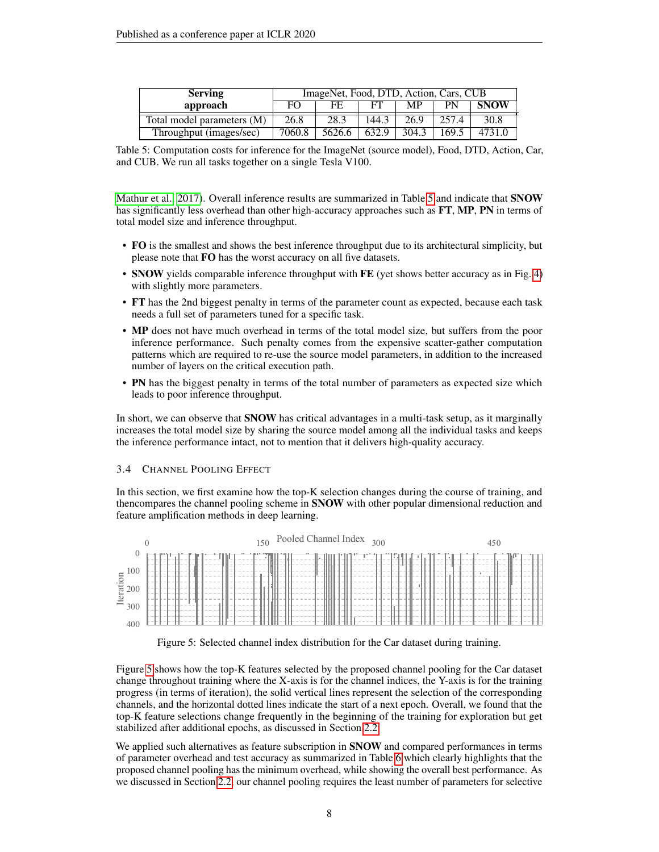<span id="page-7-1"></span>

| <b>Serving</b>             | ImageNet, Food, DTD, Action, Cars, CUB |        |       |       |       |             |  |
|----------------------------|----------------------------------------|--------|-------|-------|-------|-------------|--|
| approach                   | FΟ                                     | FF.    |       | MР    | PN    | <b>SNOW</b> |  |
| Total model parameters (M) | 26.8                                   | 28.3   | 144.3 | 26.9  | 257.4 | 30.8        |  |
| Throughput (images/sec)    | 7060.8                                 | 5626.6 | 632.9 | 304.3 | 169.5 |             |  |

Table 5: Computation costs for inference for the ImageNet (source model), Food, DTD, Action, Car, and CUB. We run all tasks together on a single Tesla V100.

[Mathur et al., 2017\)](#page-10-6). Overall inference results are summarized in Table [5](#page-7-1) and indicate that **SNOW** has significantly less overhead than other high-accuracy approaches such as FT, MP, PN in terms of total model size and inference throughput.

- FO is the smallest and shows the best inference throughput due to its architectural simplicity, but please note that FO has the worst accuracy on all five datasets.
- SNOW yields comparable inference throughput with FE (yet shows better accuracy as in Fig. [4\)](#page-5-0) with slightly more parameters.
- FT has the 2nd biggest penalty in terms of the parameter count as expected, because each task needs a full set of parameters tuned for a specific task.
- MP does not have much overhead in terms of the total model size, but suffers from the poor inference performance. Such penalty comes from the expensive scatter-gather computation patterns which are required to re-use the source model parameters, in addition to the increased number of layers on the critical execution path.
- PN has the biggest penalty in terms of the total number of parameters as expected size which leads to poor inference throughput.

In short, we can observe that **SNOW** has critical advantages in a multi-task setup, as it marginally increases the total model size by sharing the source model among all the individual tasks and keeps the inference performance intact, not to mention that it delivers high-quality accuracy.

#### <span id="page-7-0"></span>3.4 CHANNEL POOLING EFFECT

In this section, we first examine how the top-K selection changes during the course of training, and thencompares the channel pooling scheme in SNOW with other popular dimensional reduction and feature amplification methods in deep learning.

<span id="page-7-2"></span>

Figure 5: Selected channel index distribution for the Car dataset during training.

Figure [5](#page-7-2) shows how the top-K features selected by the proposed channel pooling for the Car dataset change throughout training where the X-axis is for the channel indices, the Y-axis is for the training progress (in terms of iteration), the solid vertical lines represent the selection of the corresponding channels, and the horizontal dotted lines indicate the start of a next epoch. Overall, we found that the top-K feature selections change frequently in the beginning of the training for exploration but get stabilized after additional epochs, as discussed in Section [2.2.](#page-3-0)

We applied such alternatives as feature subscription in **SNOW** and compared performances in terms of parameter overhead and test accuracy as summarized in Table [6](#page-8-2) which clearly highlights that the proposed channel pooling has the minimum overhead, while showing the overall best performance. As we discussed in Section [2.2,](#page-3-0) our channel pooling requires the least number of parameters for selective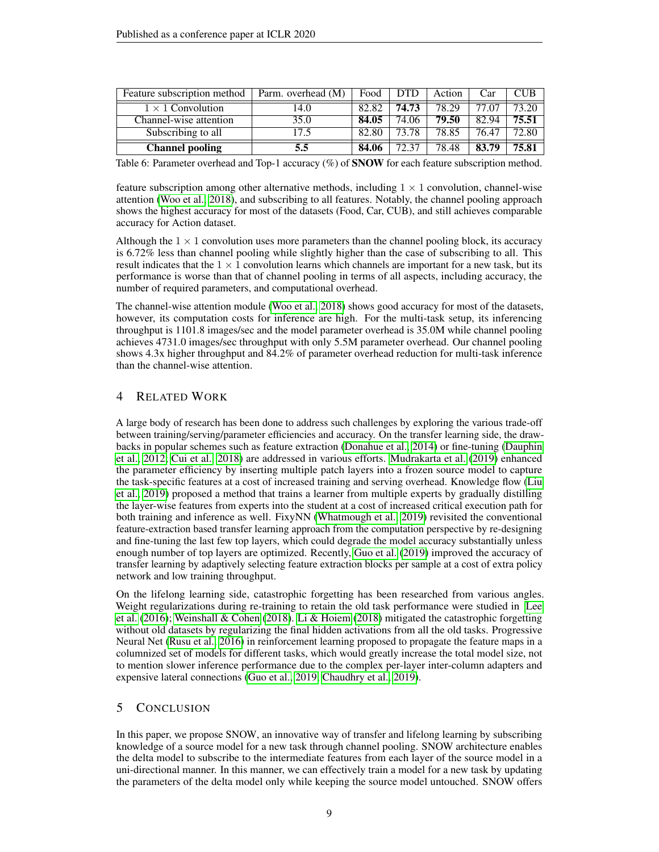<span id="page-8-2"></span>

| Feature subscription method | Parm. overhead (M) | Food  | <b>DTD</b> | Action | <b>Car</b> | CUB                |
|-----------------------------|--------------------|-------|------------|--------|------------|--------------------|
| $1 \times 1$ Convolution    | 14.0               | 82.82 | 74.73      | 78.29  | 77.07      | 73.20              |
| Channel-wise attention      | 35.0               | 84.05 | 74.06      | 79.50  | 82.94      | 75.51              |
| Subscribing to all          | 17.5               | 82.80 | 73.78      | 78.85  | 76.47      | $72.\overline{80}$ |
| <b>Channel pooling</b>      | 5.5                | 84.06 | 72.37      | 78.48  | 83.79      | 75.81              |

Table 6: Parameter overhead and Top-1 accuracy (%) of **SNOW** for each feature subscription method.

feature subscription among other alternative methods, including  $1 \times 1$  convolution, channel-wise attention [\(Woo et al., 2018\)](#page-10-7), and subscribing to all features. Notably, the channel pooling approach shows the highest accuracy for most of the datasets (Food, Car, CUB), and still achieves comparable accuracy for Action dataset.

Although the  $1 \times 1$  convolution uses more parameters than the channel pooling block, its accuracy is 6.72% less than channel pooling while slightly higher than the case of subscribing to all. This result indicates that the  $1 \times 1$  convolution learns which channels are important for a new task, but its performance is worse than that of channel pooling in terms of all aspects, including accuracy, the number of required parameters, and computational overhead.

The channel-wise attention module [\(Woo et al., 2018\)](#page-10-7) shows good accuracy for most of the datasets, however, its computation costs for inference are high. For the multi-task setup, its inferencing throughput is 1101.8 images/sec and the model parameter overhead is 35.0M while channel pooling achieves 4731.0 images/sec throughput with only 5.5M parameter overhead. Our channel pooling shows 4.3x higher throughput and 84.2% of parameter overhead reduction for multi-task inference than the channel-wise attention.

# <span id="page-8-0"></span>4 RELATED WORK

A large body of research has been done to address such challenges by exploring the various trade-off between training/serving/parameter efficiencies and accuracy. On the transfer learning side, the drawbacks in popular schemes such as feature extraction [\(Donahue et al., 2014\)](#page-9-1) or fine-tuning [\(Dauphin](#page-9-0) [et al., 2012;](#page-9-0) [Cui et al., 2018\)](#page-9-13) are addressed in various efforts. [Mudrakarta et al.](#page-10-0) [\(2019\)](#page-10-0) enhanced the parameter efficiency by inserting multiple patch layers into a frozen source model to capture the task-specific features at a cost of increased training and serving overhead. Knowledge flow [\(Liu](#page-9-14) [et al., 2019\)](#page-9-14) proposed a method that trains a learner from multiple experts by gradually distilling the layer-wise features from experts into the student at a cost of increased critical execution path for both training and inference as well. FixyNN [\(Whatmough et al., 2019\)](#page-10-5) revisited the conventional feature-extraction based transfer learning approach from the computation perspective by re-designing and fine-tuning the last few top layers, which could degrade the model accuracy substantially unless enough number of top layers are optimized. Recently, [Guo et al.](#page-9-2) [\(2019\)](#page-9-2) improved the accuracy of transfer learning by adaptively selecting feature extraction blocks per sample at a cost of extra policy network and low training throughput.

On the lifelong learning side, catastrophic forgetting has been researched from various angles. Weight regularizations during re-training to retain the old task performance were studied in [Lee](#page-9-15) [et al.](#page-9-15) [\(2016\)](#page-9-15); [Weinshall & Cohen](#page-10-12) [\(2018\)](#page-10-12). [Li & Hoiem](#page-9-3) [\(2018\)](#page-9-3) mitigated the catastrophic forgetting without old datasets by regularizing the final hidden activations from all the old tasks. Progressive Neural Net [\(Rusu et al., 2016\)](#page-10-2) in reinforcement learning proposed to propagate the feature maps in a columnized set of models for different tasks, which would greatly increase the total model size, not to mention slower inference performance due to the complex per-layer inter-column adapters and expensive lateral connections [\(Guo et al., 2019;](#page-9-2) [Chaudhry et al., 2019\)](#page-9-12).

# <span id="page-8-1"></span>5 CONCLUSION

In this paper, we propose SNOW, an innovative way of transfer and lifelong learning by subscribing knowledge of a source model for a new task through channel pooling. SNOW architecture enables the delta model to subscribe to the intermediate features from each layer of the source model in a uni-directional manner. In this manner, we can effectively train a model for a new task by updating the parameters of the delta model only while keeping the source model untouched. SNOW offers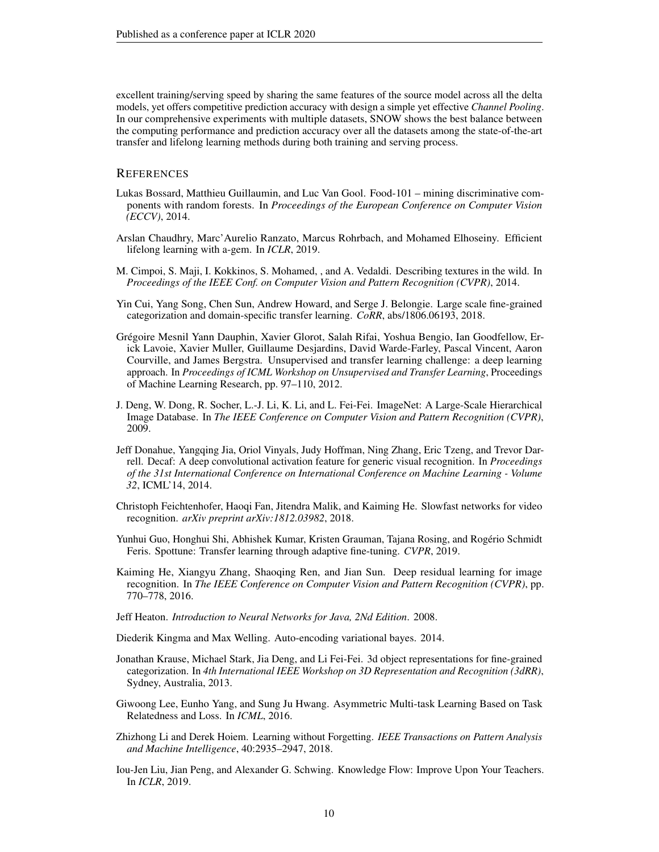excellent training/serving speed by sharing the same features of the source model across all the delta models, yet offers competitive prediction accuracy with design a simple yet effective *Channel Pooling*. In our comprehensive experiments with multiple datasets, SNOW shows the best balance between the computing performance and prediction accuracy over all the datasets among the state-of-the-art transfer and lifelong learning methods during both training and serving process.

## **REFERENCES**

- <span id="page-9-9"></span>Lukas Bossard, Matthieu Guillaumin, and Luc Van Gool. Food-101 – mining discriminative components with random forests. In *Proceedings of the European Conference on Computer Vision (ECCV)*, 2014.
- <span id="page-9-12"></span>Arslan Chaudhry, Marc'Aurelio Ranzato, Marcus Rohrbach, and Mohamed Elhoseiny. Efficient lifelong learning with a-gem. In *ICLR*, 2019.
- <span id="page-9-10"></span>M. Cimpoi, S. Maji, I. Kokkinos, S. Mohamed, , and A. Vedaldi. Describing textures in the wild. In *Proceedings of the IEEE Conf. on Computer Vision and Pattern Recognition (CVPR)*, 2014.
- <span id="page-9-13"></span>Yin Cui, Yang Song, Chen Sun, Andrew Howard, and Serge J. Belongie. Large scale fine-grained categorization and domain-specific transfer learning. *CoRR*, abs/1806.06193, 2018.
- <span id="page-9-0"></span>Grégoire Mesnil Yann Dauphin, Xavier Glorot, Salah Rifai, Yoshua Bengio, Ian Goodfellow, Erick Lavoie, Xavier Muller, Guillaume Desjardins, David Warde-Farley, Pascal Vincent, Aaron Courville, and James Bergstra. Unsupervised and transfer learning challenge: a deep learning approach. In *Proceedings of ICML Workshop on Unsupervised and Transfer Learning*, Proceedings of Machine Learning Research, pp. 97–110, 2012.
- <span id="page-9-7"></span>J. Deng, W. Dong, R. Socher, L.-J. Li, K. Li, and L. Fei-Fei. ImageNet: A Large-Scale Hierarchical Image Database. In *The IEEE Conference on Computer Vision and Pattern Recognition (CVPR)*, 2009.
- <span id="page-9-1"></span>Jeff Donahue, Yangqing Jia, Oriol Vinyals, Judy Hoffman, Ning Zhang, Eric Tzeng, and Trevor Darrell. Decaf: A deep convolutional activation feature for generic visual recognition. In *Proceedings of the 31st International Conference on International Conference on Machine Learning - Volume 32*, ICML'14, 2014.
- <span id="page-9-8"></span>Christoph Feichtenhofer, Haoqi Fan, Jitendra Malik, and Kaiming He. Slowfast networks for video recognition. *arXiv preprint arXiv:1812.03982*, 2018.
- <span id="page-9-2"></span>Yunhui Guo, Honghui Shi, Abhishek Kumar, Kristen Grauman, Tajana Rosing, and Rogério Schmidt Feris. Spottune: Transfer learning through adaptive fine-tuning. *CVPR*, 2019.
- <span id="page-9-6"></span>Kaiming He, Xiangyu Zhang, Shaoqing Ren, and Jian Sun. Deep residual learning for image recognition. In *The IEEE Conference on Computer Vision and Pattern Recognition (CVPR)*, pp. 770–778, 2016.
- <span id="page-9-5"></span>Jeff Heaton. *Introduction to Neural Networks for Java, 2Nd Edition*. 2008.
- <span id="page-9-4"></span>Diederik Kingma and Max Welling. Auto-encoding variational bayes. 2014.
- <span id="page-9-11"></span>Jonathan Krause, Michael Stark, Jia Deng, and Li Fei-Fei. 3d object representations for fine-grained categorization. In *4th International IEEE Workshop on 3D Representation and Recognition (3dRR)*, Sydney, Australia, 2013.
- <span id="page-9-15"></span>Giwoong Lee, Eunho Yang, and Sung Ju Hwang. Asymmetric Multi-task Learning Based on Task Relatedness and Loss. In *ICML*, 2016.
- <span id="page-9-3"></span>Zhizhong Li and Derek Hoiem. Learning without Forgetting. *IEEE Transactions on Pattern Analysis and Machine Intelligence*, 40:2935–2947, 2018.
- <span id="page-9-14"></span>Iou-Jen Liu, Jian Peng, and Alexander G. Schwing. Knowledge Flow: Improve Upon Your Teachers. In *ICLR*, 2019.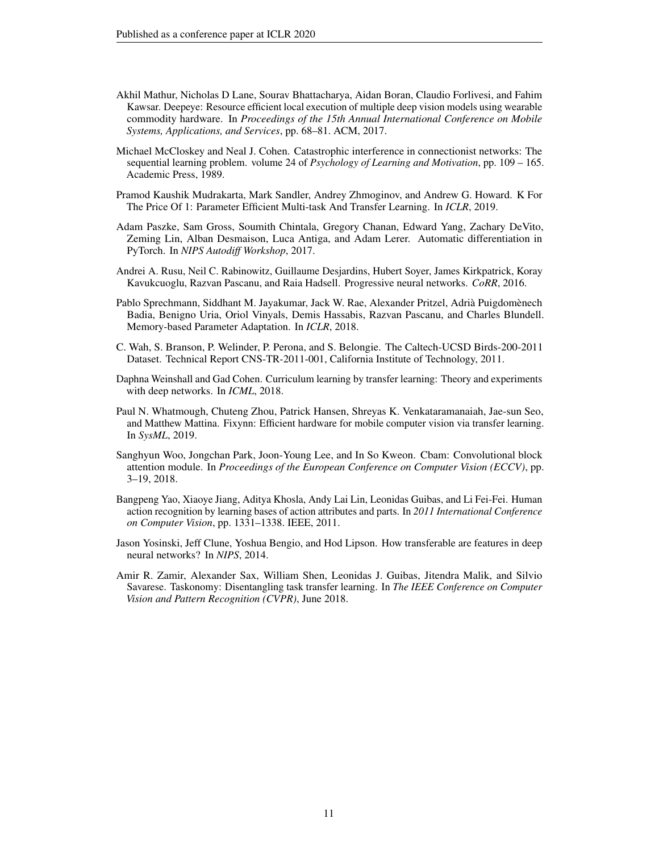- <span id="page-10-6"></span>Akhil Mathur, Nicholas D Lane, Sourav Bhattacharya, Aidan Boran, Claudio Forlivesi, and Fahim Kawsar. Deepeye: Resource efficient local execution of multiple deep vision models using wearable commodity hardware. In *Proceedings of the 15th Annual International Conference on Mobile Systems, Applications, and Services*, pp. 68–81. ACM, 2017.
- <span id="page-10-1"></span>Michael McCloskey and Neal J. Cohen. Catastrophic interference in connectionist networks: The sequential learning problem. volume 24 of *Psychology of Learning and Motivation*, pp. 109 – 165. Academic Press, 1989.
- <span id="page-10-0"></span>Pramod Kaushik Mudrakarta, Mark Sandler, Andrey Zhmoginov, and Andrew G. Howard. K For The Price Of 1: Parameter Efficient Multi-task And Transfer Learning. In *ICLR*, 2019.
- <span id="page-10-8"></span>Adam Paszke, Sam Gross, Soumith Chintala, Gregory Chanan, Edward Yang, Zachary DeVito, Zeming Lin, Alban Desmaison, Luca Antiga, and Adam Lerer. Automatic differentiation in PyTorch. In *NIPS Autodiff Workshop*, 2017.
- <span id="page-10-2"></span>Andrei A. Rusu, Neil C. Rabinowitz, Guillaume Desjardins, Hubert Soyer, James Kirkpatrick, Koray Kavukcuoglu, Razvan Pascanu, and Raia Hadsell. Progressive neural networks. *CoRR*, 2016.
- <span id="page-10-3"></span>Pablo Sprechmann, Siddhant M. Jayakumar, Jack W. Rae, Alexander Pritzel, Adrià Puigdomènech Badia, Benigno Uria, Oriol Vinyals, Demis Hassabis, Razvan Pascanu, and Charles Blundell. Memory-based Parameter Adaptation. In *ICLR*, 2018.
- <span id="page-10-10"></span>C. Wah, S. Branson, P. Welinder, P. Perona, and S. Belongie. The Caltech-UCSD Birds-200-2011 Dataset. Technical Report CNS-TR-2011-001, California Institute of Technology, 2011.
- <span id="page-10-12"></span>Daphna Weinshall and Gad Cohen. Curriculum learning by transfer learning: Theory and experiments with deep networks. In *ICML*, 2018.
- <span id="page-10-5"></span>Paul N. Whatmough, Chuteng Zhou, Patrick Hansen, Shreyas K. Venkataramanaiah, Jae-sun Seo, and Matthew Mattina. Fixynn: Efficient hardware for mobile computer vision via transfer learning. In *SysML*, 2019.
- <span id="page-10-7"></span>Sanghyun Woo, Jongchan Park, Joon-Young Lee, and In So Kweon. Cbam: Convolutional block attention module. In *Proceedings of the European Conference on Computer Vision (ECCV)*, pp. 3–19, 2018.
- <span id="page-10-9"></span>Bangpeng Yao, Xiaoye Jiang, Aditya Khosla, Andy Lai Lin, Leonidas Guibas, and Li Fei-Fei. Human action recognition by learning bases of action attributes and parts. In *2011 International Conference on Computer Vision*, pp. 1331–1338. IEEE, 2011.
- <span id="page-10-4"></span>Jason Yosinski, Jeff Clune, Yoshua Bengio, and Hod Lipson. How transferable are features in deep neural networks? In *NIPS*, 2014.
- <span id="page-10-11"></span>Amir R. Zamir, Alexander Sax, William Shen, Leonidas J. Guibas, Jitendra Malik, and Silvio Savarese. Taskonomy: Disentangling task transfer learning. In *The IEEE Conference on Computer Vision and Pattern Recognition (CVPR)*, June 2018.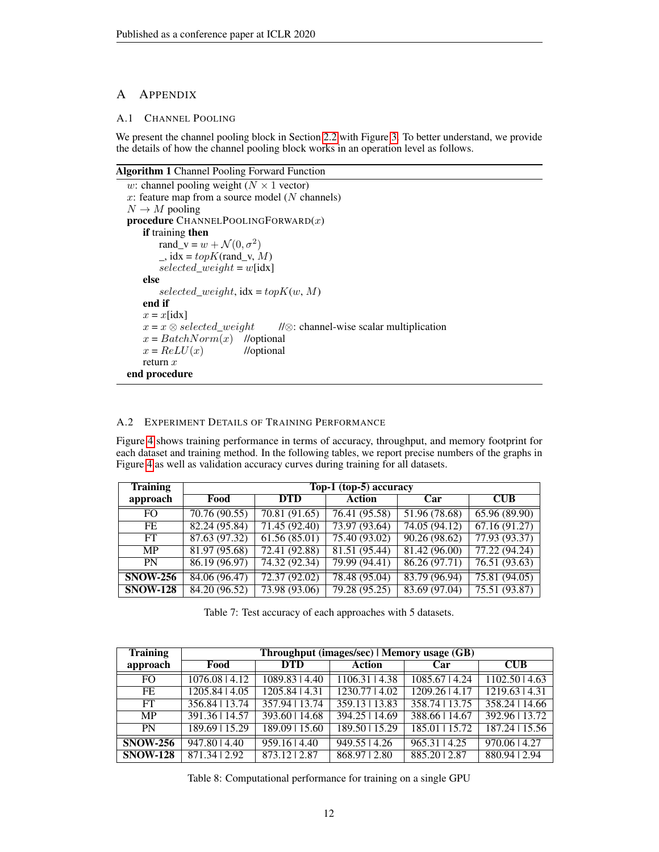# A APPENDIX

# A.1 CHANNEL POOLING

We present the channel pooling block in Section [2.2](#page-3-0) with Figure [3.](#page-3-1) To better understand, we provide the details of how the channel pooling block works in an operation level as follows.

#### Algorithm 1 Channel Pooling Forward Function

```
w: channel pooling weight (N \times 1 vector)
x: feature map from a source model (N channels)
N \to M pooling
procedure CHAPTERNELPOOLINGFORMARD(x)if training then
       rand_v = w + \mathcal{N}(0, \sigma^2)\_, idx = topK(rand_v, M)
       selected\_weight = w[idx]else
       selected\_weight, idx = topK(w, M)end if
   x = x[idx]
   x = x \otimes selected\_weight //⊗: channel-wise scalar multiplication
   x = BatchNorm(x) //optional
   x = ReLU(x) //optional
   return xend procedure
```
# A.2 EXPERIMENT DETAILS OF TRAINING PERFORMANCE

Figure [4](#page-5-0) shows training performance in terms of accuracy, throughput, and memory footprint for each dataset and training method. In the following tables, we report precise numbers of the graphs in Figure [4](#page-5-0) as well as validation accuracy curves during training for all datasets.

| <b>Training</b> | Top-1 (top-5) accuracy |               |               |               |                           |  |  |  |  |
|-----------------|------------------------|---------------|---------------|---------------|---------------------------|--|--|--|--|
| approach        | Food                   | <b>DTD</b>    | <b>Action</b> | Car           | <b>CUB</b>                |  |  |  |  |
| FO.             | 70.76(90.55)           | 70.81(91.65)  | 76.41(95.58)  | 51.96 (78.68) | 65.96 (89.90)             |  |  |  |  |
| FE.             | 82.24(95.84)           | 71.45(92.40)  | 73.97(93.64)  | 74.05(94.12)  | $\overline{67.16(91.27)}$ |  |  |  |  |
| FT.             | 87.63 (97.32)          | 61.56(85.01)  | 75.40(93.02)  | 90.26(98.62)  | 77.93(93.37)              |  |  |  |  |
| <b>MP</b>       | 81.97(95.68)           | 72.41(92.88)  | 81.51(95.44)  | 81.42(96.00)  | 77.22(94.24)              |  |  |  |  |
| <b>PN</b>       | 86.19 (96.97)          | 74.32 (92.34) | 79.99 (94.41) | 86.26(97.71)  | 76.51 (93.63)             |  |  |  |  |
| <b>SNOW-256</b> | 84.06 (96.47)          | 72.37(92.02)  | 78.48 (95.04) | 83.79 (96.94) | 75.81 (94.05)             |  |  |  |  |
| <b>SNOW-128</b> | 84.20 (96.52)          | 73.98 (93.06) | 79.28 (95.25) | 83.69 (97.04) | 75.51 (93.87)             |  |  |  |  |

Table 7: Test accuracy of each approaches with 5 datasets.

| <b>Training</b> | Throughput (images/sec)   Memory usage (GB) |                             |                  |                  |                  |  |  |  |  |
|-----------------|---------------------------------------------|-----------------------------|------------------|------------------|------------------|--|--|--|--|
| approach        | Food                                        | <b>DTD</b>                  | <b>Action</b>    | Car              | CUB              |  |  |  |  |
| FO.             | 1076.08   4.12                              | 1089.83   4.40              | 1106.31   4.38   | 1085.67   4.24   | 1102.5014.63     |  |  |  |  |
| FE              | 1205.84   4.05                              | 1205.84   4.31              | 1230.7714.02     | 1209.2614.17     | 1219.63   4.31   |  |  |  |  |
| FT.             | 356.84   13.74                              | 357.94   13.74              | 359.13   13.83   | $358.74$ 13.75   | 358.24   14.66   |  |  |  |  |
| <b>MP</b>       | 391.36   14.57                              | $\overline{393.60}$   14.68 | 394.25   14.69   | 388.66   14.67   | 392.96   13.72   |  |  |  |  |
| <b>PN</b>       | 189.69   15.29                              | 189.09   15.60              | $189.50$   15.29 | $185.01$   15.72 | $187.24$   15.56 |  |  |  |  |
| <b>SNOW-256</b> | 947.80   4.40                               | 959.1614.40                 | 949.5514.26      | 965.31   4.25    | 970.06   4.27    |  |  |  |  |
| <b>SNOW-128</b> | 871.34   2.92                               | 873.1212.87                 | 868.9712.80      | 885.2012.87      | 880.94   2.94    |  |  |  |  |

Table 8: Computational performance for training on a single GPU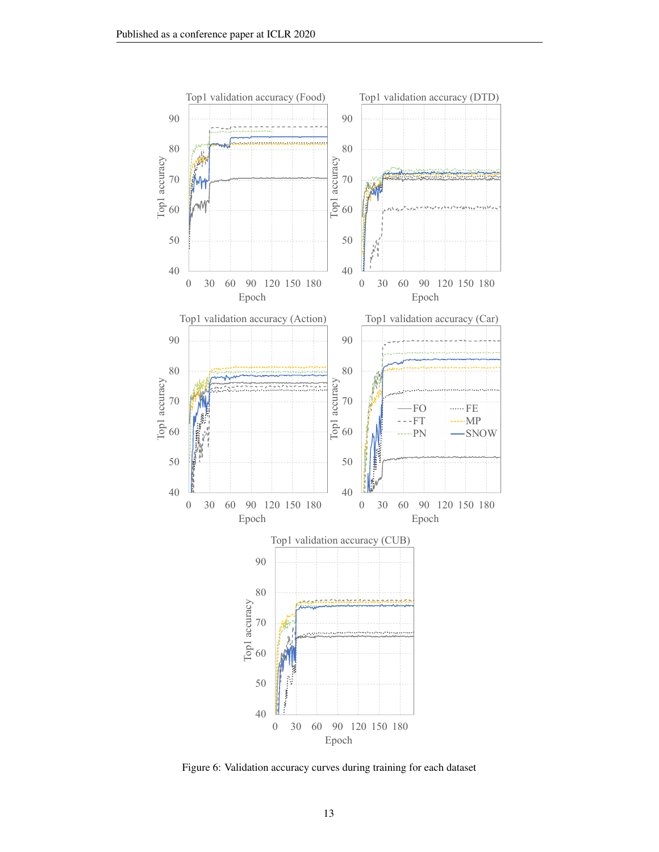

Figure 6: Validation accuracy curves during training for each dataset